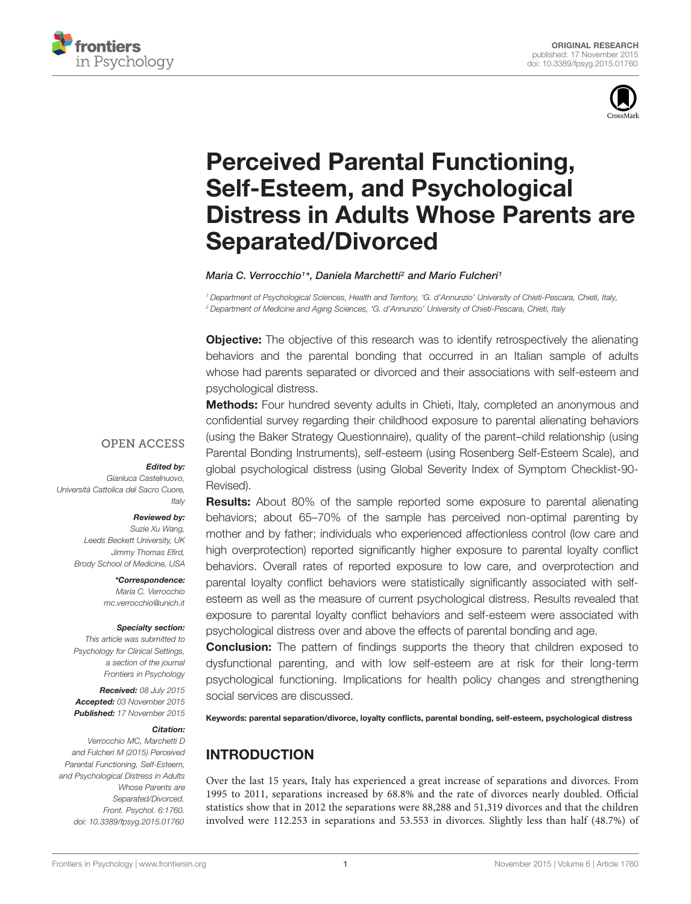



# Perceived Parental Functioning, Self-Esteem, and Psychological [Distress in Adults Whose Parents are](http://journal.frontiersin.org/article/10.3389/fpsyg.2015.01760/abstract) Separated/Divorced

#### *[Maria C. Verrocchio1](http://loop.frontiersin.org/people/255191/overview)\*, [Daniela Marchetti2](http://loop.frontiersin.org/people/255188/overview) and [Mario Fulcheri1](http://loop.frontiersin.org/people/255190/overview)*

*<sup>1</sup> Department of Psychological Sciences, Health and Territory, 'G. d'Annunzio' University of Chieti-Pescara, Chieti, Italy, <sup>2</sup> Department of Medicine and Aging Sciences, 'G. d'Annunzio' University of Chieti-Pescara, Chieti, Italy*

**Objective:** The objective of this research was to identify retrospectively the alienating behaviors and the parental bonding that occurred in an Italian sample of adults whose had parents separated or divorced and their associations with self-esteem and psychological distress.

Methods: Four hundred seventy adults in Chieti, Italy, completed an anonymous and confidential survey regarding their childhood exposure to parental alienating behaviors (using the Baker Strategy Questionnaire), quality of the parent–child relationship (using Parental Bonding Instruments), self-esteem (using Rosenberg Self-Esteem Scale), and global psychological distress (using Global Severity Index of Symptom Checklist-90- Revised).

#### **OPEN ACCESS**

#### *Edited by:*

*Gianluca Castelnuovo, Università Cattolica del Sacro Cuore, Italy*

#### *Reviewed by:*

*Suzie Xu Wang, Leeds Beckett University, UK Jimmy Thomas Efird, Brody School of Medicine, USA*

> *\*Correspondence: Maria C. Verrocchio mc.verrocchio@unich.it*

#### *Specialty section:*

*This article was submitted to Psychology for Clinical Settings, a section of the journal Frontiers in Psychology*

*Received: 08 July 2015 Accepted: 03 November 2015 Published: 17 November 2015*

#### *Citation:*

*Verrocchio MC, Marchetti D and Fulcheri M (2015) Perceived Parental Functioning, Self-Esteem, and Psychological Distress in Adults Whose Parents are Separated/Divorced. Front. Psychol. 6:1760. doi: [10.3389/fpsyg.2015.01760](http://dx.doi.org/10.3389/fpsyg.2015.01760)*

**Results:** About 80% of the sample reported some exposure to parental alienating behaviors; about 65–70% of the sample has perceived non-optimal parenting by mother and by father; individuals who experienced affectionless control (low care and high overprotection) reported significantly higher exposure to parental loyalty conflict behaviors. Overall rates of reported exposure to low care, and overprotection and parental loyalty conflict behaviors were statistically significantly associated with selfesteem as well as the measure of current psychological distress. Results revealed that exposure to parental loyalty conflict behaviors and self-esteem were associated with psychological distress over and above the effects of parental bonding and age.

**Conclusion:** The pattern of findings supports the theory that children exposed to dysfunctional parenting, and with low self-esteem are at risk for their long-term psychological functioning. Implications for health policy changes and strengthening social services are discussed.

Keywords: parental separation/divorce, loyalty conflicts, parental bonding, self-esteem, psychological distress

# INTRODUCTION

Over the last 15 years, Italy has experienced a great increase of separations and divorces. From 1995 to 2011, separations increased by 68.8% and the rate of divorces nearly doubled. Official statistics show that in 2012 the separations were 88,288 and 51,319 divorces and that the children involved were 112.253 in separations and 53.553 in divorces. Slightly less than half (48.7%) of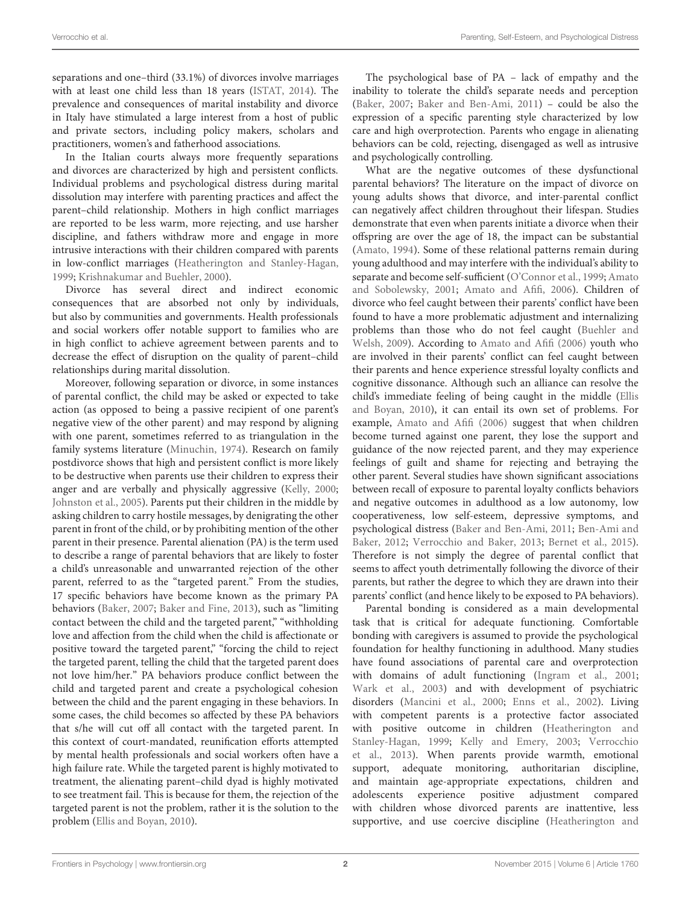separations and one–third (33.1%) of divorces involve marriages with at least one child less than 18 years [\(ISTAT, 2014](#page-7-0)). The prevalence and consequences of marital instability and divorce in Italy have stimulated a large interest from a host of public and private sectors, including policy makers, scholars and practitioners, women's and fatherhood associations.

In the Italian courts always more frequently separations and divorces are characterized by high and persistent conflicts. Individual problems and psychological distress during marital dissolution may interfere with parenting practices and affect the parent–child relationship. Mothers in high conflict marriages are reported to be less warm, more rejecting, and use harsher discipline, and fathers withdraw more and engage in more intrusive interactions with their children compared with parents in low-conflict marriages [\(Heatherington and Stanley-Hagan,](#page-7-1) [1999](#page-7-1); [Krishnakumar and Buehler, 2000](#page-7-2)).

Divorce has several direct and indirect economic consequences that are absorbed not only by individuals, but also by communities and governments. Health professionals and social workers offer notable support to families who are in high conflict to achieve agreement between parents and to decrease the effect of disruption on the quality of parent–child relationships during marital dissolution.

Moreover, following separation or divorce, in some instances of parental conflict, the child may be asked or expected to take action (as opposed to being a passive recipient of one parent's negative view of the other parent) and may respond by aligning with one parent, sometimes referred to as triangulation in the family systems literature [\(Minuchin, 1974](#page-7-3)). Research on family postdivorce shows that high and persistent conflict is more likely to be destructive when parents use their children to express their anger and are verbally and physically aggressive [\(Kelly, 2000;](#page-7-4) [Johnston et al., 2005](#page-7-5)). Parents put their children in the middle by asking children to carry hostile messages, by denigrating the other parent in front of the child, or by prohibiting mention of the other parent in their presence. Parental alienation (PA) is the term used to describe a range of parental behaviors that are likely to foster a child's unreasonable and unwarranted rejection of the other parent, referred to as the "targeted parent." From the studies, 17 specific behaviors have become known as the primary PA behaviors [\(Baker, 2007;](#page-7-6) [Baker and Fine, 2013](#page-7-7)), such as "limiting contact between the child and the targeted parent," "withholding love and affection from the child when the child is affectionate or positive toward the targeted parent," "forcing the child to reject the targeted parent, telling the child that the targeted parent does not love him/her." PA behaviors produce conflict between the child and targeted parent and create a psychological cohesion between the child and the parent engaging in these behaviors. In some cases, the child becomes so affected by these PA behaviors that s/he will cut off all contact with the targeted parent. In this context of court-mandated, reunification efforts attempted by mental health professionals and social workers often have a high failure rate. While the targeted parent is highly motivated to treatment, the alienating parent–child dyad is highly motivated to see treatment fail. This is because for them, the rejection of the targeted parent is not the problem, rather it is the solution to the problem [\(Ellis and Boyan, 2010\)](#page-7-8).

The psychological base of PA – lack of empathy and the inability to tolerate the child's separate needs and perception [\(Baker](#page-7-6), [2007;](#page-7-6) [Baker and Ben-Ami, 2011](#page-7-9)) – could be also the expression of a specific parenting style characterized by low care and high overprotection. Parents who engage in alienating behaviors can be cold, rejecting, disengaged as well as intrusive and psychologically controlling.

What are the negative outcomes of these dysfunctional parental behaviors? The literature on the impact of divorce on young adults shows that divorce, and inter-parental conflict can negatively affect children throughout their lifespan. Studies demonstrate that even when parents initiate a divorce when their offspring are over the age of 18, the impact can be substantial [\(Amato](#page-7-10), [1994](#page-7-10)). Some of these relational patterns remain during young adulthood and may interfere with the individual's ability to separate and bec[ome self-sufficient](#page-7-12) [\(O'Connor et al.](#page-7-11)[,](#page-7-12) [1999](#page-7-11)[;](#page-7-12) Amato and Sobolewsky, [2001](#page-7-12); [Amato and Afifi, 2006](#page-7-13)). Children of divorce who feel caught between their parents' conflict have been found to have a more problematic adjustment and internalizing probl[ems than those who do not feel caught \(](#page-7-14)Buehler and Welsh, [2009](#page-7-14)). According to [Amato and Afifi](#page-7-13) [\(2006](#page-7-13)) youth who are involved in their parents' conflict can feel caught between their parents and hence experience stressful loyalty conflicts and cognitive dissonance. Although such an alliance can resolve the child's im[mediate feeling of being caught in the middle \(](#page-7-8)Ellis and Boyan, [2010](#page-7-8)), it can entail its own set of problems. For example, [Amato and Afifi](#page-7-13) [\(2006](#page-7-13)) suggest that when children become turned against one parent, they lose the support and guidance of the now rejected parent, and they may experience feelings of guilt and shame for rejecting and betraying the other parent. Several studies have shown significant associations between recall of exposure to parental loyalty conflicts behaviors and negative outcomes in adulthood as a low autonomy, low cooperativeness, low self-esteem, depressive symptoms, and psych[ological distress](#page-7-15) [\(Baker and Ben-Ami](#page-7-9)[,](#page-7-15) [2011](#page-7-9)[;](#page-7-15) Ben-Ami and Baker, [2012;](#page-7-15) [Verrocchio and Baker, 2013;](#page-8-0) [Bernet et al., 2015\)](#page-7-16). Therefore is not simply the degree of parental conflict that seems to affect youth detrimentally following the divorce of their parents, but rather the degree to which they are drawn into their parents' conflict (and hence likely to be exposed to PA behaviors).

Parental bonding is considered as a main developmental task that is critical for adequate functioning. Comfortable bonding with caregivers is assumed to provide the psychological foundation for healthy functioning in adulthood. Many studies have found associations of parental care and overprotection with domains of adult functioning [\(Ingram et al.](#page-7-17), [2001](#page-7-17); [Wark et al., 2003](#page-8-1)) and with development of psychiatric disorders [\(Mancini et al., 2000;](#page-7-18) [Enns et al., 2002\)](#page-7-19). Living with competent parents is a protective factor associated with positive [outcome](#page-7-1) [in](#page-7-1) [children](#page-7-1) [\(](#page-7-1)Heatherington and Stanley-Hagan, [1999](#page-7-1); [Kelly and Emery](#page-7-20)[,](#page-8-2) [2003](#page-7-20)[;](#page-8-2) Verrocchio et al., [2013\)](#page-8-2). When parents provide warmth, emotional support, adequate monitoring, authoritarian discipline, and maintain age-appropriate expectations, children and adolescents experience positive adjustment compared with children whose divorced parents are inattentive, less supportive, and use coercive discipline (Heatherington and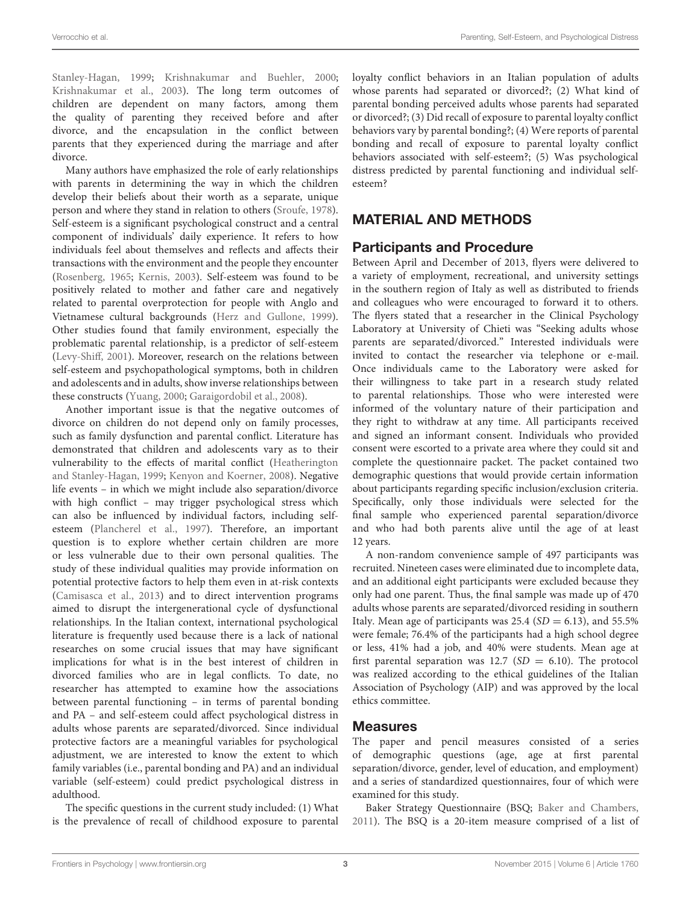Stanley-Hagan, [1999;](#page-7-1) [Krishnakumar and Buehler](#page-7-2), [2000;](#page-7-2) [Krishnakumar et al.](#page-7-21), [2003](#page-7-21)). The long term outcomes of children are dependent on many factors, among them the quality of parenting they received before and after divorce, and the encapsulation in the conflict between parents that they experienced during the marriage and after divorce.

Many authors have emphasized the role of early relationships with parents in determining the way in which the children develop their beliefs about their worth as a separate, unique person and where they stand in relation to others [\(Sroufe](#page-8-3), [1978](#page-8-3)). Self-esteem is a significant psychological construct and a central component of individuals' daily experience. It refers to how individuals feel about themselves and reflects and affects their transactions with the environment and the people they encounter [\(Rosenberg](#page-8-4), [1965;](#page-8-4) [Kernis](#page-7-22), [2003\)](#page-7-22). Self-esteem was found to be positively related to mother and father care and negatively related to parental overprotection for people with Anglo and Vietnamese cultural backgrounds [\(Herz and Gullone, 1999](#page-7-23)). Other studies found that family environment, especially the problematic parental relationship, is a predictor of self-esteem [\(Levy-Shiff](#page-7-24), [2001](#page-7-24)). Moreover, research on the relations between self-esteem and psychopathological symptoms, both in children and adolescents and in adults, show inverse relationships between these constructs [\(Yuang](#page-8-5), [2000](#page-8-5); [Garaigordobil et al.](#page-7-25), [2008\)](#page-7-25).

Another important issue is that the negative outcomes of divorce on children do not depend only on family processes, such as family dysfunction and parental conflict. Literature has demonstrated that children and adolescents vary as to their vulnerability to t[he effects of marital conflict \(](#page-7-1)Heatherington and Stanley-Hagan, [1999](#page-7-1); [Kenyon and Koerner, 2008](#page-7-26)). Negative life events – in which we might include also separation/divorce with high conflict – may trigger psychological stress which can also be influenced by individual factors, including selfesteem [\(Plancherel et al., 1997\)](#page-8-6). Therefore, an important question is to explore whether certain children are more or less vulnerable due to their own personal qualities. The study of these individual qualities may provide information on potential protective factors to help them even in at-risk contexts [\(Camisasca et al.](#page-7-27), [2013\)](#page-7-27) and to direct intervention programs aimed to disrupt the intergenerational cycle of dysfunctional relationships. In the Italian context, international psychological literature is frequently used because there is a lack of national researches on some crucial issues that may have significant implications for what is in the best interest of children in divorced families who are in legal conflicts. To date, no researcher has attempted to examine how the associations between parental functioning – in terms of parental bonding and PA – and self-esteem could affect psychological distress in adults whose parents are separated/divorced. Since individual protective factors are a meaningful variables for psychological adjustment, we are interested to know the extent to which family variables (i.e., parental bonding and PA) and an individual variable (self-esteem) could predict psychological distress in adulthood.

The specific questions in the current study included: (1) What is the prevalence of recall of childhood exposure to parental loyalty conflict behaviors in an Italian population of adults whose parents had separated or divorced?; (2) What kind of parental bonding perceived adults whose parents had separated or divorced?; (3) Did recall of exposure to parental loyalty conflict behaviors vary by parental bonding?; (4) Were reports of parental bonding and recall of exposure to parental loyalty conflict behaviors associated with self-esteem?; (5) Was psychological distress predicted by parental functioning and individual selfesteem?

# MATERIAL AND METHODS

# Participants and Procedure

Between April and December of 2013, flyers were delivered to a variety of employment, recreational, and university settings in the southern region of Italy as well as distributed to friends and colleagues who were encouraged to forward it to others. The flyers stated that a researcher in the Clinical Psychology Laboratory at University of Chieti was "Seeking adults whose parents are separated/divorced." Interested individuals were invited to contact the researcher via telephone or e-mail. Once individuals came to the Laboratory were asked for their willingness to take part in a research study related to parental relationships. Those who were interested were informed of the voluntary nature of their participation and they right to withdraw at any time. All participants received and signed an informant consent. Individuals who provided consent were escorted to a private area where they could sit and complete the questionnaire packet. The packet contained two demographic questions that would provide certain information about participants regarding specific inclusion/exclusion criteria. Specifically, only those individuals were selected for the final sample who experienced parental separation/divorce and who had both parents alive until the age of at least 12 years.

A non-random convenience sample of 497 participants was recruited. Nineteen cases were eliminated due to incomplete data, and an additional eight participants were excluded because they only had one parent. Thus, the final sample was made up of 470 adults whose parents are separated/divorced residing in southern Italy. Mean age of participants was  $25.4$  ( $SD = 6.13$ ), and  $55.5\%$ were female; 76.4% of the participants had a high school degree or less, 41% had a job, and 40% were students. Mean age at first parental separation was  $12.7$  (*SD* = 6.10). The protocol was realized according to the ethical guidelines of the Italian Association of Psychology (AIP) and was approved by the local ethics committee.

## Measures

The paper and pencil measures consisted of a series of demographic questions (age, age at first parental separation/divorce, gender, level of education, and employment) and a series of standardized questionnaires, four of which were examined for this study.

Baker Strategy Questionnaire (BSQ; [Baker and Chambers](#page-7-28), [2011\)](#page-7-28). The BSQ is a 20-item measure comprised of a list of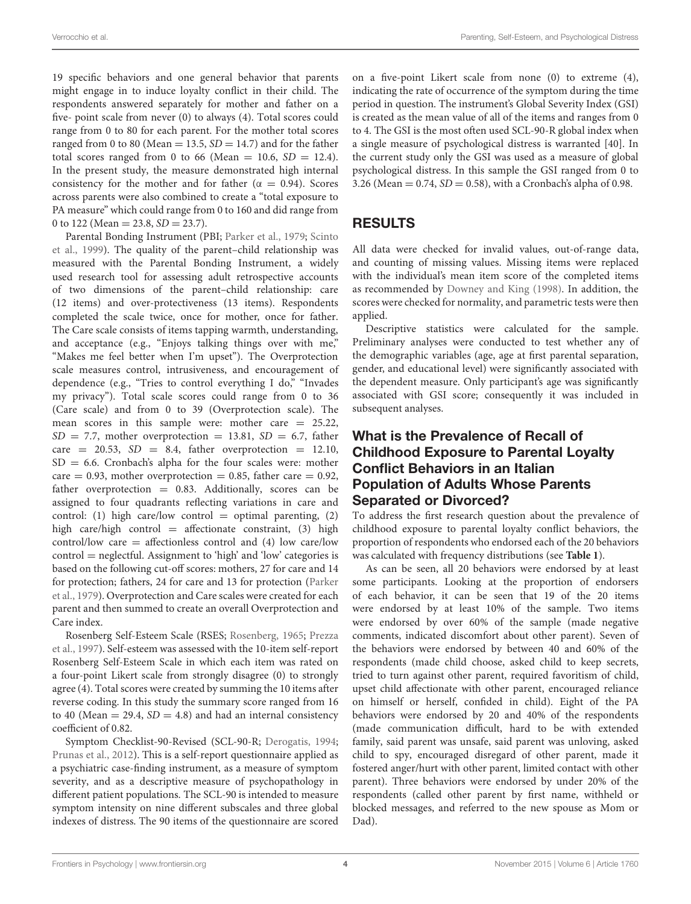19 specific behaviors and one general behavior that parents might engage in to induce loyalty conflict in their child. The respondents answered separately for mother and father on a five- point scale from never (0) to always (4). Total scores could range from 0 to 80 for each parent. For the mother total scores ranged from 0 to 80 (Mean  $= 13.5$ ,  $SD = 14.7$ ) and for the father total scores ranged from 0 to 66 (Mean =  $10.6$ ,  $SD = 12.4$ ). In the present study, the measure demonstrated high internal consistency for the mother and for father ( $\alpha = 0.94$ ). Scores across parents were also combined to create a "total exposure to PA measure" which could range from 0 to 160 and did range from 0 to 122 (Mean  $=$  23.8, *SD*  $=$  23.7).

P[arental](#page-8-8) [Bonding](#page-8-8) [Instrument](#page-8-8) [\(PBI;](#page-8-8) [Parker et al., 1979;](#page-8-7) Scinto et al., [1999](#page-8-8)). The quality of the parent–child relationship was measured with the Parental Bonding Instrument, a widely used research tool for assessing adult retrospective accounts of two dimensions of the parent–child relationship: care (12 items) and over-protectiveness (13 items). Respondents completed the scale twice, once for mother, once for father. The Care scale consists of items tapping warmth, understanding, and acceptance (e.g., "Enjoys talking things over with me," "Makes me feel better when I'm upset"). The Overprotection scale measures control, intrusiveness, and encouragement of dependence (e.g., "Tries to control everything I do," "Invades my privacy"). Total scale scores could range from 0 to 36 (Care scale) and from 0 to 39 (Overprotection scale). The mean scores in this sample were: mother care = 25.22,  $SD = 7.7$ , mother overprotection = 13.81,  $SD = 6.7$ , father care  $= 20.53$ ,  $SD = 8.4$ , father overprotection  $= 12.10$ ,  $SD = 6.6$ . Cronbach's alpha for the four scales were: mother care  $= 0.93$ , mother overprotection  $= 0.85$ , father care  $= 0.92$ , father overprotection = 0.83. Additionally, scores can be assigned to four quadrants reflecting variations in care and control: (1) high care/low control  $=$  optimal parenting, (2) high care/high control  $=$  affectionate constraint, (3) high control/low care = affectionless control and  $(4)$  low care/low control = neglectful. Assignment to 'high' and 'low' categories is based on the following cut-off scores: mothers, 27 for care and 14 for [protection;](#page-8-7) [fathers,](#page-8-7) [24](#page-8-7) [for](#page-8-7) [care](#page-8-7) [and](#page-8-7) [13](#page-8-7) [for](#page-8-7) [protection](#page-8-7) [\(](#page-8-7)Parker et al., [1979\)](#page-8-7). Overprotection and Care scales were created for each parent and then summed to create an overall Overprotection and Care index.

R[osenberg Self-Esteem Scale \(RSES;](#page-8-9) [Rosenberg](#page-8-4), [1965;](#page-8-4) Prezza et al., [1997\)](#page-8-9). Self-esteem was assessed with the 10-item self-report Rosenberg Self-Esteem Scale in which each item was rated on a four-point Likert scale from strongly disagree (0) to strongly agree (4). Total scores were created by summing the 10 items after reverse coding. In this study the summary score ranged from 16 to 40 (Mean  $=$  29.4,  $SD = 4.8$ ) and had an internal consistency coefficient of 0.82.

Symptom Checklist-90-Revised (SCL-90-R; [Derogatis](#page-7-29), [1994;](#page-7-29) [Prunas et al.](#page-8-10), [2012\)](#page-8-10). This is a self-report questionnaire applied as a psychiatric case-finding instrument, as a measure of symptom severity, and as a descriptive measure of psychopathology in different patient populations. The SCL-90 is intended to measure symptom intensity on nine different subscales and three global indexes of distress. The 90 items of the questionnaire are scored

on a five-point Likert scale from none (0) to extreme (4), indicating the rate of occurrence of the symptom during the time period in question. The instrument's Global Severity Index (GSI) is created as the mean value of all of the items and ranges from 0 to 4. The GSI is the most often used SCL-90-R global index when a single measure of psychological distress is warranted [40]. In the current study only the GSI was used as a measure of global psychological distress. In this sample the GSI ranged from 0 to 3.26 (Mean =  $0.74$ , *SD* = 0.58), with a Cronbach's alpha of 0.98.

# RESULTS

All data were checked for invalid values, out-of-range data, and counting of missing values. Missing items were replaced with the individual's mean item score of the completed items as recommended by [Downey and King](#page-7-30) [\(1998\)](#page-7-30). In addition, the scores were checked for normality, and parametric tests were then applied.

Descriptive statistics were calculated for the sample. Preliminary analyses were conducted to test whether any of the demographic variables (age, age at first parental separation, gender, and educational level) were significantly associated with the dependent measure. Only participant's age was significantly associated with GSI score; consequently it was included in subsequent analyses.

# What is the Prevalence of Recall of Childhood Exposure to Parental Loyalty Conflict Behaviors in an Italian Population of Adults Whose Parents Separated or Divorced?

To address the first research question about the prevalence of childhood exposure to parental loyalty conflict behaviors, the proportion of respondents who endorsed each of the 20 behaviors was calculated with frequency distributions (see **[Table 1](#page-4-0)**).

As can be seen, all 20 behaviors were endorsed by at least some participants. Looking at the proportion of endorsers of each behavior, it can be seen that 19 of the 20 items were endorsed by at least 10% of the sample. Two items were endorsed by over 60% of the sample (made negative comments, indicated discomfort about other parent). Seven of the behaviors were endorsed by between 40 and 60% of the respondents (made child choose, asked child to keep secrets, tried to turn against other parent, required favoritism of child, upset child affectionate with other parent, encouraged reliance on himself or herself, confided in child). Eight of the PA behaviors were endorsed by 20 and 40% of the respondents (made communication difficult, hard to be with extended family, said parent was unsafe, said parent was unloving, asked child to spy, encouraged disregard of other parent, made it fostered anger/hurt with other parent, limited contact with other parent). Three behaviors were endorsed by under 20% of the respondents (called other parent by first name, withheld or blocked messages, and referred to the new spouse as Mom or Dad).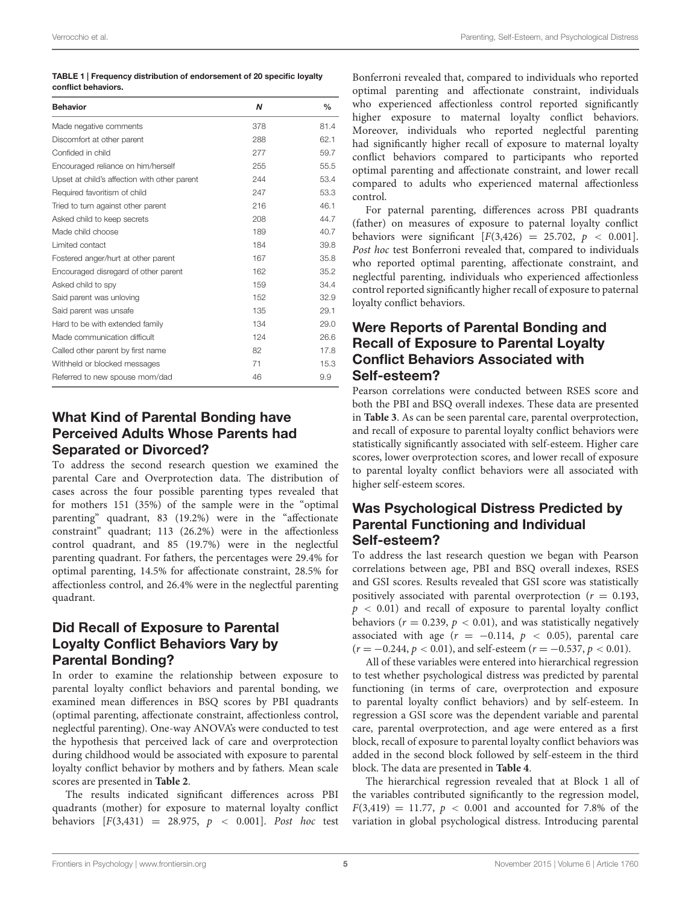<span id="page-4-0"></span>

| TABLE 1   Frequency distribution of endorsement of 20 specific loyalty |
|------------------------------------------------------------------------|
| conflict behaviors.                                                    |

| <b>Behavior</b>                              | N   | $\frac{0}{0}$ |
|----------------------------------------------|-----|---------------|
| Made negative comments                       | 378 | 81.4          |
| Discomfort at other parent                   | 288 | 62.1          |
| Confided in child                            | 277 | 59.7          |
| Encouraged reliance on him/herself           | 255 | 55.5          |
| Upset at child's affection with other parent | 244 | 53.4          |
| Required favoritism of child                 | 247 | 53.3          |
| Tried to turn against other parent           | 216 | 46.1          |
| Asked child to keep secrets                  | 208 | 44.7          |
| Made child choose                            | 189 | 40.7          |
| Limited contact                              | 184 | 39.8          |
| Fostered anger/hurt at other parent          | 167 | 35.8          |
| Encouraged disregard of other parent         | 162 | 35.2          |
| Asked child to spy                           | 159 | 34.4          |
| Said parent was unloving                     | 152 | 32.9          |
| Said parent was unsafe                       | 135 | 29.1          |
| Hard to be with extended family              | 134 | 29.0          |
| Made communication difficult                 | 124 | 26.6          |
| Called other parent by first name            | 82  | 17.8          |
| Withheld or blocked messages                 | 71  | 15.3          |
| Referred to new spouse mom/dad               | 46  | 9.9           |

# What Kind of Parental Bonding have Perceived Adults Whose Parents had Separated or Divorced?

To address the second research question we examined the parental Care and Overprotection data. The distribution of cases across the four possible parenting types revealed that for mothers 151 (35%) of the sample were in the "optimal parenting" quadrant, 83 (19.2%) were in the "affectionate constraint" quadrant; 113 (26.2%) were in the affectionless control quadrant, and 85 (19.7%) were in the neglectful parenting quadrant. For fathers, the percentages were 29.4% for optimal parenting, 14.5% for affectionate constraint, 28.5% for affectionless control, and 26.4% were in the neglectful parenting quadrant.

# Did Recall of Exposure to Parental Loyalty Conflict Behaviors Vary by Parental Bonding?

In order to examine the relationship between exposure to parental loyalty conflict behaviors and parental bonding, we examined mean differences in BSQ scores by PBI quadrants (optimal parenting, affectionate constraint, affectionless control, neglectful parenting). One-way ANOVA's were conducted to test the hypothesis that perceived lack of care and overprotection during childhood would be associated with exposure to parental loyalty conflict behavior by mothers and by fathers. Mean scale scores are presented in **[Table 2](#page-5-0)**.

The results indicated significant differences across PBI quadrants (mother) for exposure to maternal loyalty conflict behaviors [*F*(3,431) = 28.975, *p <* 0.001]. *Post hoc* test Bonferroni revealed that, compared to individuals who reported optimal parenting and affectionate constraint, individuals who experienced affectionless control reported significantly higher exposure to maternal loyalty conflict behaviors. Moreover, individuals who reported neglectful parenting had significantly higher recall of exposure to maternal loyalty conflict behaviors compared to participants who reported optimal parenting and affectionate constraint, and lower recall compared to adults who experienced maternal affectionless control.

For paternal parenting, differences across PBI quadrants (father) on measures of exposure to paternal loyalty conflict behaviors were significant  $[F(3, 426) = 25.702, p < 0.001]$ . *Post hoc* test Bonferroni revealed that, compared to individuals who reported optimal parenting, affectionate constraint, and neglectful parenting, individuals who experienced affectionless control reported significantly higher recall of exposure to paternal loyalty conflict behaviors.

# Were Reports of Parental Bonding and Recall of Exposure to Parental Loyalty Conflict Behaviors Associated with Self-esteem?

Pearson correlations were conducted between RSES score and both the PBI and BSQ overall indexes. These data are presented in **[Table 3](#page-5-1)**. As can be seen parental care, parental overprotection, and recall of exposure to parental loyalty conflict behaviors were statistically significantly associated with self-esteem. Higher care scores, lower overprotection scores, and lower recall of exposure to parental loyalty conflict behaviors were all associated with higher self-esteem scores.

## Was Psychological Distress Predicted by Parental Functioning and Individual Self-esteem?

To address the last research question we began with Pearson correlations between age, PBI and BSQ overall indexes, RSES and GSI scores. Results revealed that GSI score was statistically positively associated with parental overprotection  $(r = 0.193,$ *p <* 0.01) and recall of exposure to parental loyalty conflict behaviors ( $r = 0.239$ ,  $p < 0.01$ ), and was statistically negatively associated with age  $(r = -0.114, p < 0.05)$ , parental care  $(r = -0.244, p < 0.01)$ , and self-esteem  $(r = -0.537, p < 0.01)$ .

All of these variables were entered into hierarchical regression to test whether psychological distress was predicted by parental functioning (in terms of care, overprotection and exposure to parental loyalty conflict behaviors) and by self-esteem. In regression a GSI score was the dependent variable and parental care, parental overprotection, and age were entered as a first block, recall of exposure to parental loyalty conflict behaviors was added in the second block followed by self-esteem in the third block. The data are presented in **[Table 4](#page-5-2)**.

The hierarchical regression revealed that at Block 1 all of the variables contributed significantly to the regression model,  $F(3,419) = 11.77, p < 0.001$  and accounted for 7.8% of the variation in global psychological distress. Introducing parental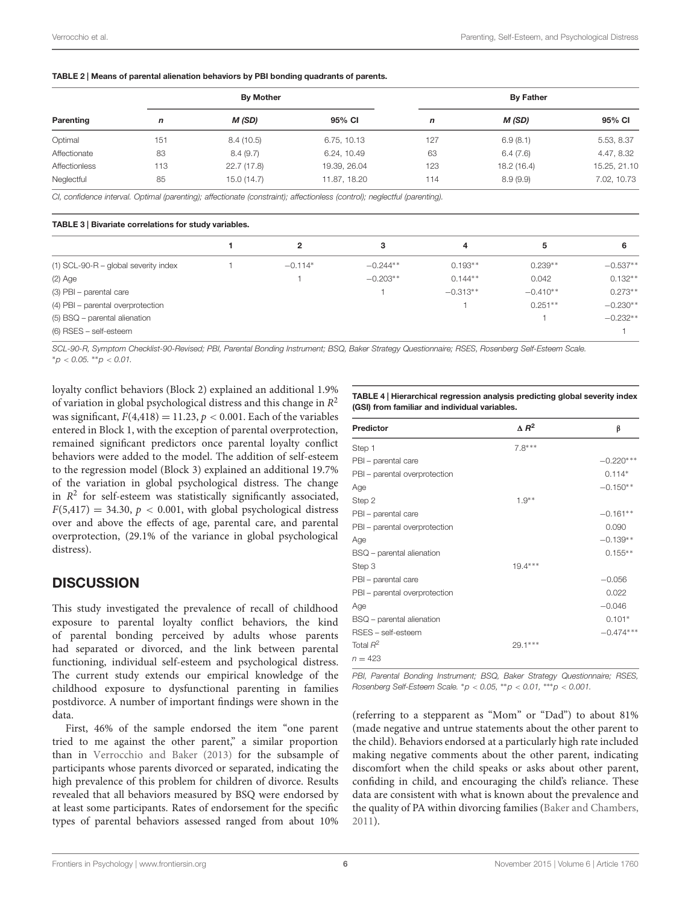<span id="page-5-0"></span>

| Parenting     | <b>By Mother</b> |             |              | <b>By Father</b> |             |              |
|---------------|------------------|-------------|--------------|------------------|-------------|--------------|
|               | n                | M (SD)      | 95% CI       | n                | M (SD)      | 95% CI       |
| Optimal       | 151              | 8.4(10.5)   | 6.75, 10.13  | 127              | 6.9(8.1)    | 5.53, 8.37   |
| Affectionate  | 83               | 8.4(9.7)    | 6.24, 10.49  | 63               | 6.4(7.6)    | 4.47, 8.32   |
| Affectionless | 113              | 22.7 (17.8) | 19.39, 26.04 | 123              | 18.2 (16.4) | 15.25, 21.10 |
| Neglectful    | 85               | 15.0 (14.7) | 11.87, 18.20 | 114              | 8.9(9.9)    | 7.02, 10.73  |

<span id="page-5-1"></span>*CI, confidence interval. Optimal (parenting); affectionate (constraint); affectionless (control); neglectful (parenting).*

#### TABLE 3 | Bivariate correlations for study variables.

|                                        | 2         | з          | 4          | 5          | 6          |
|----------------------------------------|-----------|------------|------------|------------|------------|
| $(1)$ SCL-90-R – global severity index | $-0.114*$ | $-0.244**$ | $0.193**$  | $0.239**$  | $-0.537**$ |
| $(2)$ Age                              |           | $-0.203**$ | $0.144**$  | 0.042      | $0.132**$  |
| (3) PBI - parental care                |           |            | $-0.313**$ | $-0.410**$ | $0.273**$  |
| (4) PBI - parental overprotection      |           |            |            | $0.251**$  | $-0.230**$ |
| $(5)$ BSQ – parental alienation        |           |            |            |            | $-0.232**$ |
| (6) RSES - self-esteem                 |           |            |            |            |            |

*SCL-90-R, Symptom Checklist-90-Revised; PBI, Parental Bonding Instrument; BSQ, Baker Strategy Questionnaire; RSES, Rosenberg Self-Esteem Scale.* ∗*p < 0.05.* ∗∗*p < 0.01.*

loyalty conflict behaviors (Block 2) explained an additional 1.9% of variation in global psychological distress and this change in *R*<sup>2</sup> was significant,  $F(4,418) = 11.23$ ,  $p < 0.001$ . Each of the variables entered in Block 1, with the exception of parental overprotection, remained significant predictors once parental loyalty conflict behaviors were added to the model. The addition of self-esteem to the regression model (Block 3) explained an additional 19.7% of the variation in global psychological distress. The change in  $R^2$  for self-esteem was statistically significantly associated,  $F(5,417) = 34.30, p < 0.001$ , with global psychological distress over and above the effects of age, parental care, and parental overprotection, (29.1% of the variance in global psychological distress).

## **DISCUSSION**

This study investigated the prevalence of recall of childhood exposure to parental loyalty conflict behaviors, the kind of parental bonding perceived by adults whose parents had separated or divorced, and the link between parental functioning, individual self-esteem and psychological distress. The current study extends our empirical knowledge of the childhood exposure to dysfunctional parenting in families postdivorce. A number of important findings were shown in the data.

First, 46% of the sample endorsed the item "one parent tried to me against the other parent," a similar proportion than in [Verrocchio and Baker](#page-8-0) [\(2013\)](#page-8-0) for the subsample of participants whose parents divorced or separated, indicating the high prevalence of this problem for children of divorce. Results revealed that all behaviors measured by BSQ were endorsed by at least some participants. Rates of endorsement for the specific types of parental behaviors assessed ranged from about 10%

<span id="page-5-2"></span>TABLE 4 | Hierarchical regression analysis predicting global severity index (GSI) from familiar and individual variables.

| <b>Predictor</b>              | $\triangle R^2$ | β           |
|-------------------------------|-----------------|-------------|
| Step 1                        | $7.8***$        |             |
| PBI - parental care           |                 | $-0.220***$ |
| PBI - parental overprotection |                 | $0.114*$    |
| Age                           |                 | $-0.150**$  |
| Step 2                        | $1.9**$         |             |
| PBI - parental care           |                 | $-0.161**$  |
| PBI - parental overprotection |                 | 0.090       |
| Age                           |                 | $-0.139**$  |
| BSQ - parental alienation     |                 | $0.155**$   |
| Step 3                        | $19.4***$       |             |
| PBI - parental care           |                 | $-0.056$    |
| PBI - parental overprotection |                 | 0.022       |
| Age                           |                 | $-0.046$    |
| BSQ - parental alienation     |                 | $0.101*$    |
| RSES - self-esteem            |                 | $-0.474***$ |
| Total $R^2$                   | 29.1 ***        |             |
| $n = 423$                     |                 |             |

*PBI, Parental Bonding Instrument; BSQ, Baker Strategy Questionnaire; RSES, Rosenberg Self-Esteem Scale.* ∗*p < 0.05,* ∗∗*p < 0.01,* ∗∗∗*p < 0.001.*

(referring to a stepparent as "Mom" or "Dad") to about 81% (made negative and untrue statements about the other parent to the child). Behaviors endorsed at a particularly high rate included making negative comments about the other parent, indicating discomfort when the child speaks or asks about other parent, confiding in child, and encouraging the child's reliance. These data are consistent with what is known about the prevalence and the quality of PA within divorcing families [\(Baker and Chambers](#page-7-28), [2011\)](#page-7-28).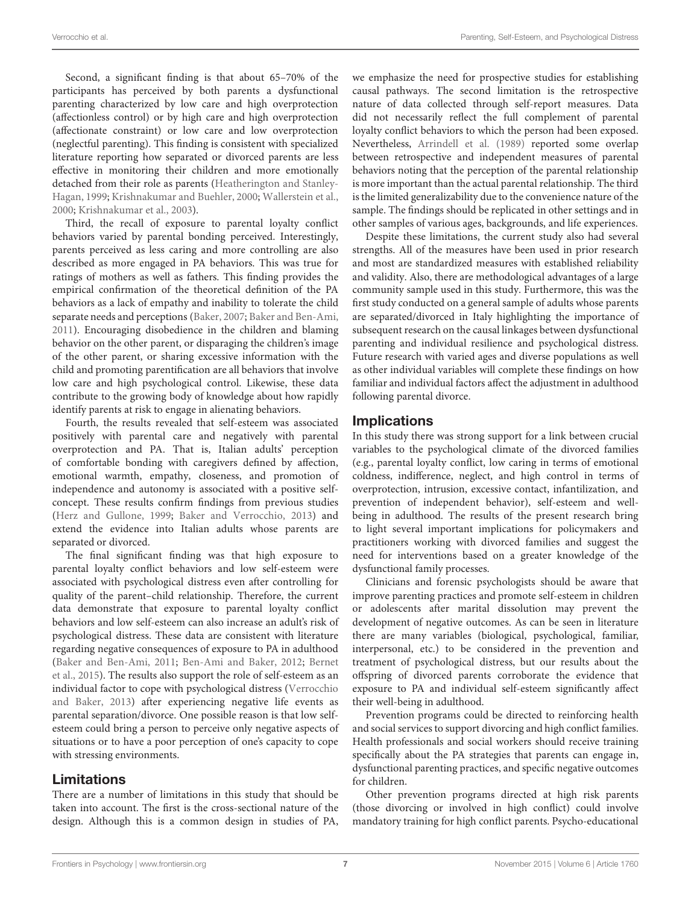Second, a significant finding is that about 65–70% of the participants has perceived by both parents a dysfunctional parenting characterized by low care and high overprotection (affectionless control) or by high care and high overprotection (affectionate constraint) or low care and low overprotection (neglectful parenting). This finding is consistent with specialized literature reporting how separated or divorced parents are less effective in monitoring their children and more emotionally detac[hed from their role as parents \(](#page-7-1)Heatherington and Stanley-Hagan, [1999](#page-7-1); [Krishnakumar and Buehler, 2000](#page-7-2); [Wallerstein et al.,](#page-8-11) [2000](#page-8-11); [Krishnakumar et al.](#page-7-21), [2003\)](#page-7-21).

Third, the recall of exposure to parental loyalty conflict behaviors varied by parental bonding perceived. Interestingly, parents perceived as less caring and more controlling are also described as more engaged in PA behaviors. This was true for ratings of mothers as well as fathers. This finding provides the empirical confirmation of the theoretical definition of the PA behaviors as a lack of empathy and inability to tolerate the child separate needs and perceptions [\(Baker, 2007;](#page-7-6) [Baker and Ben-Ami,](#page-7-9) [2011](#page-7-9)). Encouraging disobedience in the children and blaming behavior on the other parent, or disparaging the children's image of the other parent, or sharing excessive information with the child and promoting parentification are all behaviors that involve low care and high psychological control. Likewise, these data contribute to the growing body of knowledge about how rapidly identify parents at risk to engage in alienating behaviors.

Fourth, the results revealed that self-esteem was associated positively with parental care and negatively with parental overprotection and PA. That is, Italian adults' perception of comfortable bonding with caregivers defined by affection, emotional warmth, empathy, closeness, and promotion of independence and autonomy is associated with a positive selfconcept. These results confirm findings from previous studies [\(Herz and Gullone](#page-7-23), [1999](#page-7-23); [Baker and Verrocchio, 2013](#page-7-31)) and extend the evidence into Italian adults whose parents are separated or divorced.

The final significant finding was that high exposure to parental loyalty conflict behaviors and low self-esteem were associated with psychological distress even after controlling for quality of the parent–child relationship. Therefore, the current data demonstrate that exposure to parental loyalty conflict behaviors and low self-esteem can also increase an adult's risk of psychological distress. These data are consistent with literature regarding negative consequences of exposure to PA in adulthood [\(Baker and Ben-Ami](#page-7-9), [2011](#page-7-9); [Ben-Ami and Baker, 2012;](#page-7-15) Bernet et al., [2015\)](#page-7-16). The results also support the role of self-esteem as an individual [factor to cope with psychological distress \(](#page-8-0)Verrocchio and Baker, [2013](#page-8-0)) after experiencing negative life events as parental separation/divorce. One possible reason is that low selfesteem could bring a person to perceive only negative aspects of situations or to have a poor perception of one's capacity to cope with stressing environments.

#### Limitations

There are a number of limitations in this study that should be taken into account. The first is the cross-sectional nature of the design. Although this is a common design in studies of PA,

we emphasize the need for prospective studies for establishing causal pathways. The second limitation is the retrospective nature of data collected through self-report measures. Data did not necessarily reflect the full complement of parental loyalty conflict behaviors to which the person had been exposed. Nevertheless, [Arrindell et al.](#page-7-32) [\(1989](#page-7-32)) reported some overlap between retrospective and independent measures of parental behaviors noting that the perception of the parental relationship is more important than the actual parental relationship. The third is the limited generalizability due to the convenience nature of the sample. The findings should be replicated in other settings and in other samples of various ages, backgrounds, and life experiences.

Despite these limitations, the current study also had several strengths. All of the measures have been used in prior research and most are standardized measures with established reliability and validity. Also, there are methodological advantages of a large community sample used in this study. Furthermore, this was the first study conducted on a general sample of adults whose parents are separated/divorced in Italy highlighting the importance of subsequent research on the causal linkages between dysfunctional parenting and individual resilience and psychological distress. Future research with varied ages and diverse populations as well as other individual variables will complete these findings on how familiar and individual factors affect the adjustment in adulthood following parental divorce.

#### **Implications**

In this study there was strong support for a link between crucial variables to the psychological climate of the divorced families (e.g., parental loyalty conflict, low caring in terms of emotional coldness, indifference, neglect, and high control in terms of overprotection, intrusion, excessive contact, infantilization, and prevention of independent behavior), self-esteem and wellbeing in adulthood. The results of the present research bring to light several important implications for policymakers and practitioners working with divorced families and suggest the need for interventions based on a greater knowledge of the dysfunctional family processes.

Clinicians and forensic psychologists should be aware that improve parenting practices and promote self-esteem in children or adolescents after marital dissolution may prevent the development of negative outcomes. As can be seen in literature there are many variables (biological, psychological, familiar, interpersonal, etc.) to be considered in the prevention and treatment of psychological distress, but our results about the offspring of divorced parents corroborate the evidence that exposure to PA and individual self-esteem significantly affect their well-being in adulthood.

Prevention programs could be directed to reinforcing health and social services to support divorcing and high conflict families. Health professionals and social workers should receive training specifically about the PA strategies that parents can engage in, dysfunctional parenting practices, and specific negative outcomes for children.

Other prevention programs directed at high risk parents (those divorcing or involved in high conflict) could involve mandatory training for high conflict parents. Psycho-educational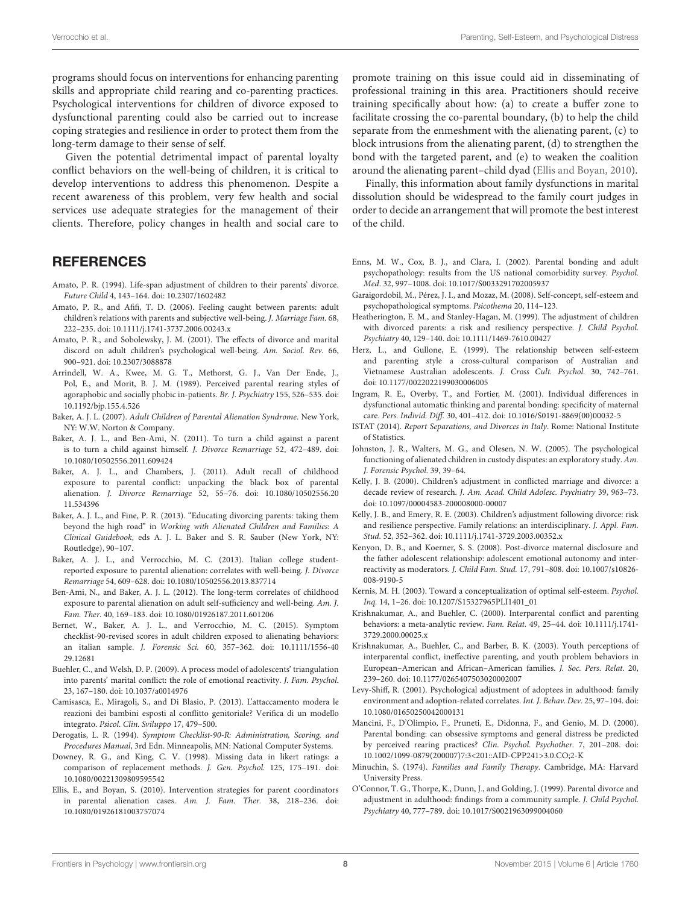programs should focus on interventions for enhancing parenting skills and appropriate child rearing and co-parenting practices. Psychological interventions for children of divorce exposed to dysfunctional parenting could also be carried out to increase coping strategies and resilience in order to protect them from the long-term damage to their sense of self.

Given the potential detrimental impact of parental loyalty conflict behaviors on the well-being of children, it is critical to develop interventions to address this phenomenon. Despite a recent awareness of this problem, very few health and social services use adequate strategies for the management of their clients. Therefore, policy changes in health and social care to

## **REFERENCES**

- <span id="page-7-10"></span>Amato, P. R. (1994). Life-span adjustment of children to their parents' divorce. *Future Child* 4, 143–164. doi: 10.2307/1602482
- <span id="page-7-13"></span>Amato, P. R., and Afifi, T. D. (2006). Feeling caught between parents: adult children's relations with parents and subjective well-being. *J. Marriage Fam.* 68, 222–235. doi: 10.1111/j.1741-3737.2006.00243.x
- <span id="page-7-12"></span>Amato, P. R., and Sobolewsky, J. M. (2001). The effects of divorce and marital discord on adult children's psychological well-being. *Am. Sociol. Rev.* 66, 900–921. doi: 10.2307/3088878
- <span id="page-7-32"></span>Arrindell, W. A., Kwee, M. G. T., Methorst, G. J., Van Der Ende, J., Pol, E., and Morit, B. J. M. (1989). Perceived parental rearing styles of agoraphobic and socially phobic in-patients. *Br. J. Psychiatry* 155, 526–535. doi: 10.1192/bjp.155.4.526
- <span id="page-7-6"></span>Baker, A. J. L. (2007). *Adult Children of Parental Alienation Syndrome*. New York, NY: W.W. Norton & Company.
- <span id="page-7-9"></span>Baker, A. J. L., and Ben-Ami, N. (2011). To turn a child against a parent is to turn a child against himself. *J. Divorce Remarriage* 52, 472–489. doi: 10.1080/10502556.2011.609424
- <span id="page-7-28"></span>Baker, A. J. L., and Chambers, J. (2011). Adult recall of childhood exposure to parental conflict: unpacking the black box of parental alienation. *J. Divorce Remarriage* 52, 55–76. doi: 10.1080/10502556.20 11.534396
- <span id="page-7-7"></span>Baker, A. J. L., and Fine, P. R. (2013). "Educating divorcing parents: taking them beyond the high road" in *Working with Alienated Children and Families*: *A Clinical Guidebook*, eds A. J. L. Baker and S. R. Sauber (New York, NY: Routledge), 90–107.
- <span id="page-7-31"></span>Baker, A. J. L., and Verrocchio, M. C. (2013). Italian college studentreported exposure to parental alienation: correlates with well-being. *J. Divorce Remarriage* 54, 609–628. doi: 10.1080/10502556.2013.837714
- <span id="page-7-15"></span>Ben-Ami, N., and Baker, A. J. L. (2012). The long-term correlates of childhood exposure to parental alienation on adult self-sufficiency and well-being. *Am. J. Fam. Ther.* 40, 169–183. doi: 10.1080/01926187.2011.601206
- <span id="page-7-16"></span>Bernet, W., Baker, A. J. L., and Verrocchio, M. C. (2015). Symptom checklist-90-revised scores in adult children exposed to alienating behaviors: an italian sample. *J. Forensic Sci.* 60, 357–362. doi: 10.1111/1556-40 29.12681
- <span id="page-7-14"></span>Buehler, C., and Welsh, D. P. (2009). A process model of adolescents' triangulation into parents' marital conflict: the role of emotional reactivity. *J. Fam. Psychol.* 23, 167–180. doi: 10.1037/a0014976
- <span id="page-7-27"></span>Camisasca, E., Miragoli, S., and Di Blasio, P. (2013). L'attaccamento modera le reazioni dei bambini esposti al conflitto genitoriale? Verifica di un modello integrato. *Psicol. Clin. Sviluppo* 17, 479–500.
- <span id="page-7-29"></span>Derogatis, L. R. (1994). *Symptom Checklist-90-R: Administration, Scoring, and Procedures Manual*, 3rd Edn. Minneapolis, MN: National Computer Systems.
- <span id="page-7-30"></span>Downey, R. G., and King, C. V. (1998). Missing data in likert ratings: a comparison of replacement methods. *J. Gen. Psychol.* 125, 175–191. doi: 10.1080/00221309809595542
- <span id="page-7-8"></span>Ellis, E., and Boyan, S. (2010). Intervention strategies for parent coordinators in parental alienation cases. *Am. J. Fam. Ther.* 38, 218–236. doi: 10.1080/01926181003757074

promote training on this issue could aid in disseminating of professional training in this area. Practitioners should receive training specifically about how: (a) to create a buffer zone to facilitate crossing the co-parental boundary, (b) to help the child separate from the enmeshment with the alienating parent, (c) to block intrusions from the alienating parent, (d) to strengthen the bond with the targeted parent, and (e) to weaken the coalition around the alienating parent–child dyad [\(Ellis and Boyan, 2010](#page-7-8)).

Finally, this information about family dysfunctions in marital dissolution should be widespread to the family court judges in order to decide an arrangement that will promote the best interest of the child.

- <span id="page-7-19"></span>Enns, M. W., Cox, B. J., and Clara, I. (2002). Parental bonding and adult psychopathology: results from the US national comorbidity survey. *Psychol. Med*. 32, 997–1008. doi: 10.1017/S0033291702005937
- <span id="page-7-25"></span>Garaigordobil, M., Pérez, J. I., and Mozaz, M. (2008). Self-concept, self-esteem and psychopathological symptoms. *Psicothema* 20, 114–123.
- <span id="page-7-1"></span>Heatherington, E. M., and Stanley-Hagan, M. (1999). The adjustment of children with divorced parents: a risk and resiliency perspective. *J. Child Psychol. Psychiatry* 40, 129–140. doi: 10.1111/1469-7610.00427
- <span id="page-7-23"></span>Herz, L., and Gullone, E. (1999). The relationship between self-esteem and parenting style a cross-cultural comparison of Australian and Vietnamese Australian adolescents. *J. Cross Cult. Psychol.* 30, 742–761. doi: 10.1177/0022022199030006005
- <span id="page-7-17"></span>Ingram, R. E., Overby, T., and Fortier, M. (2001). Individual differences in dysfunctional automatic thinking and parental bonding: specificity of maternal care. *Pers. Individ. Diff.* 30, 401–412. doi: 10.1016/S0191-8869(00)00032-5
- <span id="page-7-0"></span>ISTAT (2014). *Report Separations, and Divorces in Italy*. Rome: National Institute of Statistics.
- <span id="page-7-5"></span>Johnston, J. R., Walters, M. G., and Olesen, N. W. (2005). The psychological functioning of alienated children in custody disputes: an exploratory study. *Am. J. Forensic Psychol.* 39, 39–64.
- <span id="page-7-4"></span>Kelly, J. B. (2000). Children's adjustment in conflicted marriage and divorce: a decade review of research. *J. Am. Acad. Child Adolesc. Psychiatry* 39, 963–73. doi: 10.1097/00004583-200008000-00007
- <span id="page-7-20"></span>Kelly, J. B., and Emery, R. E. (2003). Children's adjustment following divorce: risk and resilience perspective. Family relations: an interdisciplinary. *J. Appl. Fam. Stud.* 52, 352–362. doi: 10.1111/j.1741-3729.2003.00352.x
- <span id="page-7-26"></span>Kenyon, D. B., and Koerner, S. S. (2008). Post-divorce maternal disclosure and the father adolescent relationship: adolescent emotional autonomy and interreactivity as moderators. *J. Child Fam. Stud.* 17, 791–808. doi: 10.1007/s10826- 008-9190-5
- <span id="page-7-22"></span>Kernis, M. H. (2003). Toward a conceptualization of optimal self-esteem. *Psychol. Inq.* 14, 1–26. doi: 10.1207/S15327965PLI1401\_01
- <span id="page-7-2"></span>Krishnakumar, A., and Buehler, C. (2000). Interparental conflict and parenting behaviors: a meta-analytic review. *Fam. Relat.* 49, 25–44. doi: 10.1111/j.1741- 3729.2000.00025.x
- <span id="page-7-21"></span>Krishnakumar, A., Buehler, C., and Barber, B. K. (2003). Youth perceptions of interparental conflict, ineffective parenting, and youth problem behaviors in European–American and African–American families. *J. Soc. Pers. Relat.* 20, 239–260. doi: 10.1177/0265407503020002007
- <span id="page-7-24"></span>Levy-Shiff, R. (2001). Psychological adjustment of adoptees in adulthood: family environment and adoption-related correlates. *Int. J. Behav. Dev.* 25, 97–104. doi: 10.1080/01650250042000131
- <span id="page-7-18"></span>Mancini, F., D'Olimpio, F., Pruneti, E., Didonna, F., and Genio, M. D. (2000). Parental bonding: can obsessive symptoms and general distress be predicted by perceived rearing practices? *Clin*. *Psychol. Psychother.* 7, 201–208. doi: 10.1002/1099-0879(200007)7:3<201::AID-CPP241>3.0.CO;2-K
- <span id="page-7-3"></span>Minuchin, S. (1974). *Families and Family Therapy*. Cambridge, MA: Harvard University Press.
- <span id="page-7-11"></span>O'Connor, T. G., Thorpe, K., Dunn, J., and Golding, J. (1999). Parental divorce and adjustment in adulthood: findings from a community sample. *J. Child Psychol. Psychiatry* 40, 777–789. doi: 10.1017/S0021963099004060